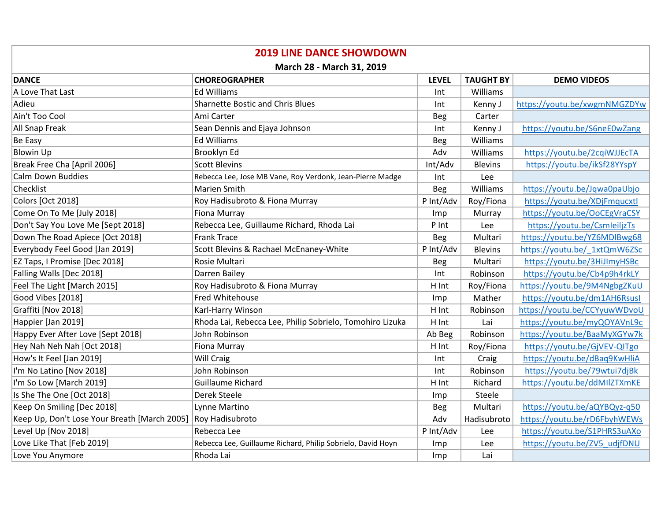| <b>2019 LINE DANCE SHOWDOWN</b>              |                                                             |              |                  |                              |  |  |  |
|----------------------------------------------|-------------------------------------------------------------|--------------|------------------|------------------------------|--|--|--|
| March 28 - March 31, 2019                    |                                                             |              |                  |                              |  |  |  |
| <b>DANCE</b>                                 | <b>CHOREOGRAPHER</b>                                        | <b>LEVEL</b> | <b>TAUGHT BY</b> | <b>DEMO VIDEOS</b>           |  |  |  |
| A Love That Last                             | <b>Ed Williams</b>                                          | Int          | Williams         |                              |  |  |  |
| Adieu                                        | <b>Sharnette Bostic and Chris Blues</b>                     | Int          | Kenny J          | https://youtu.be/xwgmNMGZDYw |  |  |  |
| Ain't Too Cool                               | Ami Carter                                                  | Beg          | Carter           |                              |  |  |  |
| <b>All Snap Freak</b>                        | Sean Dennis and Ejaya Johnson                               | Int          | Kenny J          | https://youtu.be/S6neE0wZang |  |  |  |
| Be Easy                                      | <b>Ed Williams</b>                                          | Beg          | Williams         |                              |  |  |  |
| <b>Blowin Up</b>                             | Brooklyn Ed                                                 | Adv          | Williams         | https://youtu.be/2cqiWJJEcTA |  |  |  |
| Break Free Cha [April 2006]                  | <b>Scott Blevins</b>                                        | Int/Adv      | <b>Blevins</b>   | https://youtu.be/ikSf28YYspY |  |  |  |
| Calm Down Buddies                            | Rebecca Lee, Jose MB Vane, Roy Verdonk, Jean-Pierre Madge   | Int          | Lee              |                              |  |  |  |
| Checklist                                    | Marien Smith                                                | <b>Beg</b>   | Williams         | https://youtu.be/Jqwa0paUbjo |  |  |  |
| Colors [Oct 2018]                            | Roy Hadisubroto & Fiona Murray                              | P Int/Adv    | Roy/Fiona        | https://youtu.be/XDjFmqucxtl |  |  |  |
| Come On To Me [July 2018]                    | Fiona Murray                                                | Imp          | Murray           | https://youtu.be/OoCEgVraCSY |  |  |  |
| Don't Say You Love Me [Sept 2018]            | Rebecca Lee, Guillaume Richard, Rhoda Lai                   | P Int        | Lee              | https://youtu.be/CsmleiljzTs |  |  |  |
| Down The Road Apiece [Oct 2018]              | <b>Frank Trace</b>                                          | Beg          | Multari          | https://youtu.be/YZ6MDlBwg68 |  |  |  |
| Everybody Feel Good [Jan 2019]               | Scott Blevins & Rachael McEnaney-White                      | P Int/Adv    | <b>Blevins</b>   | https://youtu.be/ 1xtQmW6ZSc |  |  |  |
| EZ Taps, I Promise [Dec 2018]                | Rosie Multari                                               | <b>Beg</b>   | Multari          | https://youtu.be/3HiJImyHSBc |  |  |  |
| Falling Walls [Dec 2018]                     | Darren Bailey                                               | Int          | Robinson         | https://youtu.be/Cb4p9h4rkLY |  |  |  |
| Feel The Light [March 2015]                  | Roy Hadisubroto & Fiona Murray                              | H Int        | Roy/Fiona        | https://youtu.be/9M4NgbgZKuU |  |  |  |
| Good Vibes [2018]                            | Fred Whitehouse                                             | Imp          | Mather           | https://youtu.be/dm1AH6Rsusl |  |  |  |
| Graffiti [Nov 2018]                          | Karl-Harry Winson                                           | H Int        | Robinson         | https://youtu.be/CCYyuwWDvoU |  |  |  |
| Happier [Jan 2019]                           | Rhoda Lai, Rebecca Lee, Philip Sobrielo, Tomohiro Lizuka    | H Int        | Lai              | https://youtu.be/myQOYAVnL9c |  |  |  |
| Happy Ever After Love [Sept 2018]            | John Robinson                                               | Ab Beg       | Robinson         | https://youtu.be/BaaMyXGYw7k |  |  |  |
| Hey Nah Neh Nah [Oct 2018]                   | Fiona Murray                                                | H Int        | Roy/Fiona        | https://youtu.be/GjVEV-QITgo |  |  |  |
| How's It Feel [Jan 2019]                     | Will Craig                                                  | Int          | Craig            | https://youtu.be/dBaq9KwHliA |  |  |  |
| I'm No Latino [Nov 2018]                     | John Robinson                                               | Int          | Robinson         | https://youtu.be/79wtui7djBk |  |  |  |
| I'm So Low [March 2019]                      | <b>Guillaume Richard</b>                                    | H Int        | Richard          | https://youtu.be/ddMIlZTXmKE |  |  |  |
| Is She The One [Oct 2018]                    | Derek Steele                                                | Imp          | Steele           |                              |  |  |  |
| Keep On Smiling [Dec 2018]                   | Lynne Martino                                               | <b>Beg</b>   | Multari          | https://youtu.be/aQYBQyz-q50 |  |  |  |
| Keep Up, Don't Lose Your Breath [March 2005] | Roy Hadisubroto                                             | Adv          | Hadisubroto      | https://youtu.be/rD6FbyhWEWs |  |  |  |
| Level Up [Nov 2018]                          | Rebecca Lee                                                 | P Int/Adv    | Lee              | https://youtu.be/S1PHRS3uAXo |  |  |  |
| Love Like That [Feb 2019]                    | Rebecca Lee, Guillaume Richard, Philip Sobrielo, David Hoyn | Imp          | Lee              | https://youtu.be/ZV5 udjfDNU |  |  |  |
| Love You Anymore                             | Rhoda Lai                                                   | Imp          | Lai              |                              |  |  |  |